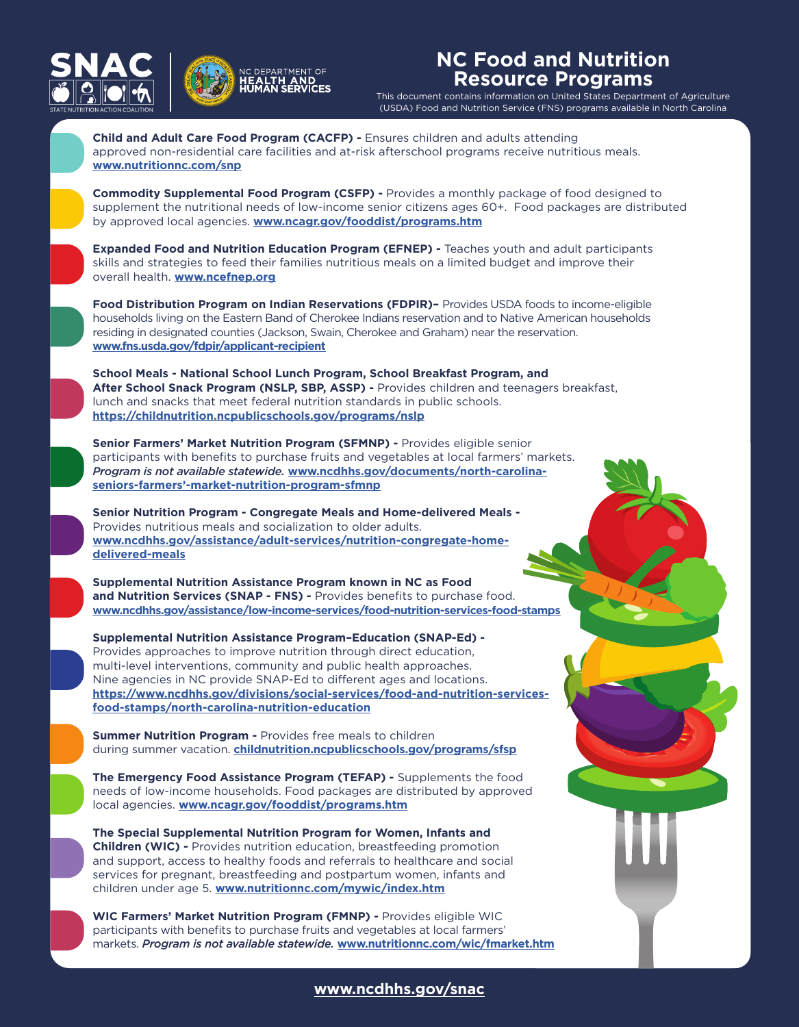



## **NC Food and Nutrition Resource Programs**

This document contains information on United States Department of Agriculture (USDA) Food and Nutrition Service (FNS) programs available in North Carolina



**<www.ncdhhs.gov/snac>**